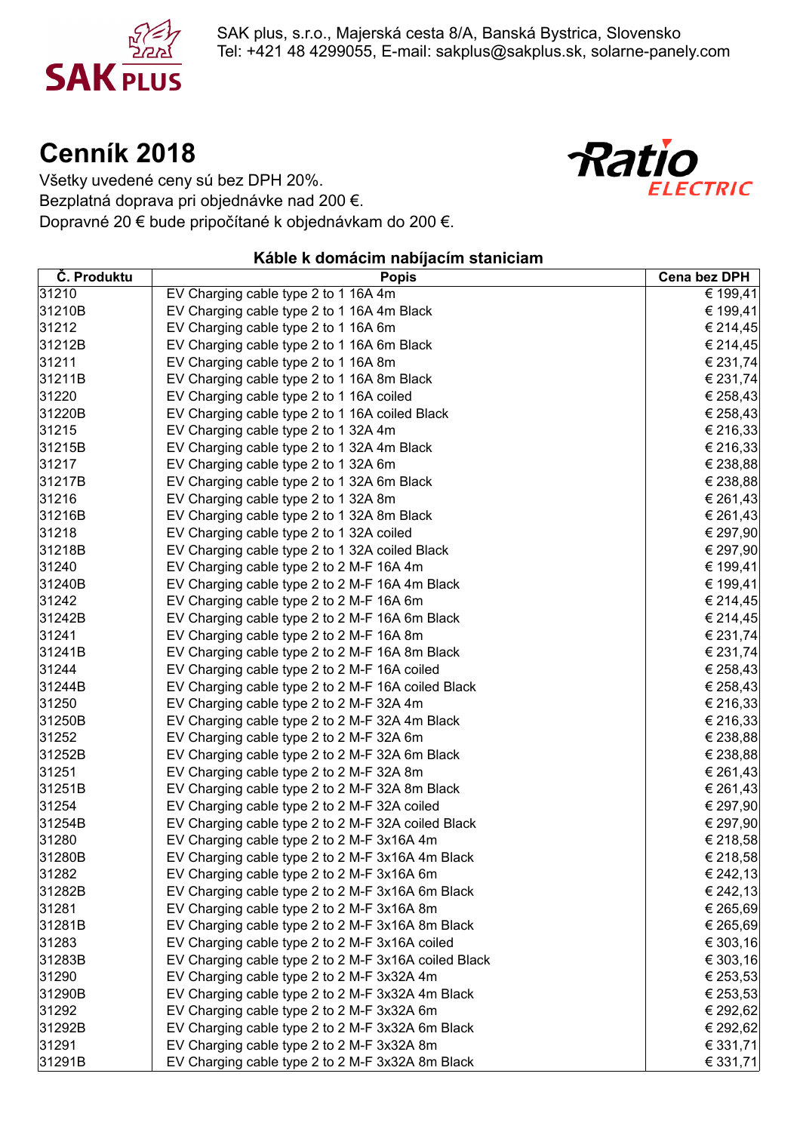

SAK plus, s.r.o., Majerská cesta 8/A, Banská Bystrica, Slovensko Tel: +421 48 4299055, E-mail: sakplus@sakplus.sk, solarne-panely.com

# **Cenník 2018**



Všetky uvedené ceny sú bez DPH 20%. Bezplatná doprava pri objednávke nad 200 €. Dopravné 20 € bude pripočítané k objednávkam do 200 €.

#### **Káble k domácim nabíjacím staniciam**

| Č. Produktu | <b>Popis</b>                                         | <b>Cena bez DPH</b> |
|-------------|------------------------------------------------------|---------------------|
| 31210       | EV Charging cable type 2 to 1 16A 4m                 | € 199,41            |
| 31210B      | EV Charging cable type 2 to 1 16A 4m Black           | € 199,41            |
| 31212       | EV Charging cable type 2 to 1 16A 6m                 | € 214,45            |
| 31212B      | EV Charging cable type 2 to 1 16A 6m Black           | € 214,45            |
| 31211       | EV Charging cable type 2 to 1 16A 8m                 | € 231,74            |
| 31211B      | EV Charging cable type 2 to 1 16A 8m Black           | € 231,74            |
| 31220       | EV Charging cable type 2 to 1 16A coiled             | € 258,43            |
| 31220B      | EV Charging cable type 2 to 1 16A coiled Black       | € 258,43            |
| 31215       | EV Charging cable type 2 to 1 32A 4m                 | € 216,33            |
| 31215B      | EV Charging cable type 2 to 1 32A 4m Black           | € 216,33            |
| 31217       | EV Charging cable type 2 to 1 32A 6m                 | € 238,88            |
| 31217B      | EV Charging cable type 2 to 1 32A 6m Black           | € 238,88            |
| 31216       | EV Charging cable type 2 to 1 32A 8m                 | € 261,43            |
| 31216B      | EV Charging cable type 2 to 1 32A 8m Black           | € 261,43            |
| 31218       | EV Charging cable type 2 to 1 32A coiled             | € 297,90            |
| 31218B      | EV Charging cable type 2 to 1 32A coiled Black       | € 297,90            |
| 31240       | EV Charging cable type 2 to 2 M-F 16A 4m             | € 199,41            |
| 31240B      | EV Charging cable type 2 to 2 M-F 16A 4m Black       | € 199,41            |
| 31242       | EV Charging cable type 2 to 2 M-F 16A 6m             | € 214,45            |
| 31242B      | EV Charging cable type 2 to 2 M-F 16A 6m Black       | € 214,45            |
| 31241       | EV Charging cable type 2 to 2 M-F 16A 8m             | € 231,74            |
| 31241B      | EV Charging cable type 2 to 2 M-F 16A 8m Black       | € 231,74            |
| 31244       | EV Charging cable type 2 to 2 M-F 16A coiled         | € 258,43            |
| 31244B      | EV Charging cable type 2 to 2 M-F 16A coiled Black   | € 258,43            |
| 31250       | EV Charging cable type 2 to 2 M-F 32A 4m             | € 216,33            |
| 31250B      | EV Charging cable type 2 to 2 M-F 32A 4m Black       | € 216,33            |
| 31252       | EV Charging cable type 2 to 2 M-F 32A 6m             | € 238,88            |
| 31252B      | EV Charging cable type 2 to 2 M-F 32A 6m Black       | € 238,88            |
| 31251       | EV Charging cable type 2 to 2 M-F 32A 8m             | € 261,43            |
| 31251B      | EV Charging cable type 2 to 2 M-F 32A 8m Black       | € 261,43            |
| 31254       | EV Charging cable type 2 to 2 M-F 32A coiled         | € 297,90            |
| 31254B      | EV Charging cable type 2 to 2 M-F 32A coiled Black   | € 297,90            |
| 31280       | EV Charging cable type 2 to 2 M-F 3x16A 4m           | € 218,58            |
| 31280B      | EV Charging cable type 2 to 2 M-F 3x16A 4m Black     | € 218,58            |
| 31282       | EV Charging cable type 2 to 2 M-F 3x16A 6m           | € 242,13            |
| 31282B      | EV Charging cable type 2 to 2 M-F 3x16A 6m Black     | € 242,13            |
| 31281       | EV Charging cable type 2 to 2 M-F 3x16A 8m           | € 265,69            |
| 31281B      | EV Charging cable type 2 to 2 M-F 3x16A 8m Black     | € 265,69            |
| 31283       | EV Charging cable type 2 to 2 M-F 3x16A coiled       | € 303,16            |
| 31283B      | EV Charging cable type 2 to 2 M-F 3x16A coiled Black | € 303,16            |
| 31290       | EV Charging cable type 2 to 2 M-F 3x32A 4m           | € 253,53            |
| 31290B      | EV Charging cable type 2 to 2 M-F 3x32A 4m Black     | € 253,53            |
| 31292       | EV Charging cable type 2 to 2 M-F 3x32A 6m           | € 292,62            |
| 31292B      | EV Charging cable type 2 to 2 M-F 3x32A 6m Black     | € 292,62            |
| 31291       | EV Charging cable type 2 to 2 M-F 3x32A 8m           | € 331,71            |
| 31291B      | EV Charging cable type 2 to 2 M-F 3x32A 8m Black     | € 331,71            |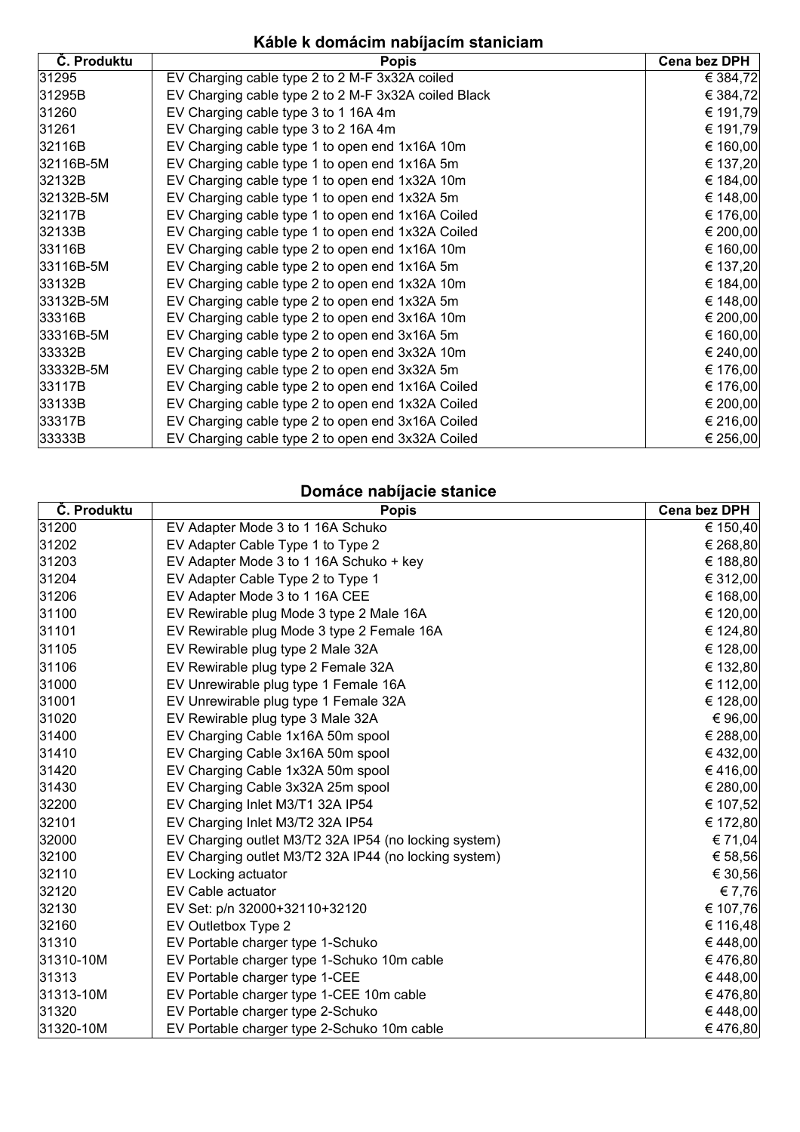## **Káble k domácim nabíjacím staniciam**

| Č. Produktu | <b>Popis</b>                                         | Cena bez DPH |
|-------------|------------------------------------------------------|--------------|
| 31295       | EV Charging cable type 2 to 2 M-F 3x32A coiled       | € 384,72     |
| 31295B      | EV Charging cable type 2 to 2 M-F 3x32A coiled Black | € 384,72     |
| 31260       | EV Charging cable type 3 to 1 16A 4m                 | € 191,79     |
| 31261       | EV Charging cable type 3 to 2 16A 4m                 | € 191,79     |
| 32116B      | EV Charging cable type 1 to open end 1x16A 10m       | € 160,00     |
| 32116B-5M   | EV Charging cable type 1 to open end 1x16A 5m        | € 137,20     |
| 32132B      | EV Charging cable type 1 to open end 1x32A 10m       | € 184,00     |
| 32132B-5M   | EV Charging cable type 1 to open end 1x32A 5m        | € 148,00     |
| 32117B      | EV Charging cable type 1 to open end 1x16A Coiled    | € 176,00     |
| 32133B      | EV Charging cable type 1 to open end 1x32A Coiled    | € 200,00     |
| 33116B      | EV Charging cable type 2 to open end 1x16A 10m       | € 160,00     |
| 33116B-5M   | EV Charging cable type 2 to open end 1x16A 5m        | € 137,20     |
| 33132B      | EV Charging cable type 2 to open end 1x32A 10m       | € 184,00     |
| 33132B-5M   | EV Charging cable type 2 to open end 1x32A 5m        | € 148,00     |
| 33316B      | EV Charging cable type 2 to open end 3x16A 10m       | € 200,00     |
| 33316B-5M   | EV Charging cable type 2 to open end 3x16A 5m        | € 160,00     |
| 33332B      | EV Charging cable type 2 to open end 3x32A 10m       | € 240,00     |
| 33332B-5M   | EV Charging cable type 2 to open end 3x32A 5m        | € 176,00     |
| 33117B      | EV Charging cable type 2 to open end 1x16A Coiled    | € 176,00     |
| 33133B      | EV Charging cable type 2 to open end 1x32A Coiled    | € 200,00     |
| 33317B      | EV Charging cable type 2 to open end 3x16A Coiled    | € 216,00     |
| 33333B      | EV Charging cable type 2 to open end 3x32A Coiled    | € 256,00     |

#### **Domáce nabíjacie stanice**

| Č. Produktu | <b>Popis</b>                                          | Cena bez DPH |
|-------------|-------------------------------------------------------|--------------|
| 31200       | EV Adapter Mode 3 to 1 16A Schuko                     | € 150,40     |
| 31202       | EV Adapter Cable Type 1 to Type 2                     | € 268,80     |
| 31203       | EV Adapter Mode 3 to 1 16A Schuko + key               | € 188,80     |
| 31204       | EV Adapter Cable Type 2 to Type 1                     | € 312,00     |
| 31206       | EV Adapter Mode 3 to 1 16A CEE                        | € 168,00     |
| 31100       | EV Rewirable plug Mode 3 type 2 Male 16A              | € 120,00     |
| 31101       | EV Rewirable plug Mode 3 type 2 Female 16A            | € 124,80     |
| 31105       | EV Rewirable plug type 2 Male 32A                     | € 128,00     |
| 31106       | EV Rewirable plug type 2 Female 32A                   | € 132,80     |
| 31000       | EV Unrewirable plug type 1 Female 16A                 | € 112,00     |
| 31001       | EV Unrewirable plug type 1 Female 32A                 | € 128,00     |
| 31020       | EV Rewirable plug type 3 Male 32A                     | € 96,00      |
| 31400       | EV Charging Cable 1x16A 50m spool                     | € 288,00     |
| 31410       | EV Charging Cable 3x16A 50m spool                     | €432,00      |
| 31420       | EV Charging Cable 1x32A 50m spool                     | €416,00      |
| 31430       | EV Charging Cable 3x32A 25m spool                     | € 280,00     |
| 32200       | EV Charging Inlet M3/T1 32A IP54                      | € 107,52     |
| 32101       | EV Charging Inlet M3/T2 32A IP54                      | € 172,80     |
| 32000       | EV Charging outlet M3/T2 32A IP54 (no locking system) | € 71,04      |
| 32100       | EV Charging outlet M3/T2 32A IP44 (no locking system) | € 58,56      |
| 32110       | EV Locking actuator                                   | € 30,56      |
| 32120       | EV Cable actuator                                     | € 7,76       |
| 32130       | EV Set: p/n 32000+32110+32120                         | € 107,76     |
| 32160       | EV Outletbox Type 2                                   | € 116,48     |
| 31310       | EV Portable charger type 1-Schuko                     | €448,00      |
| 31310-10M   | EV Portable charger type 1-Schuko 10m cable           | €476,80      |
| 31313       | EV Portable charger type 1-CEE                        | €448,00      |
| 31313-10M   | EV Portable charger type 1-CEE 10m cable              | €476,80      |
| 31320       | EV Portable charger type 2-Schuko                     | €448,00      |
| 31320-10M   | EV Portable charger type 2-Schuko 10m cable           | €476,80      |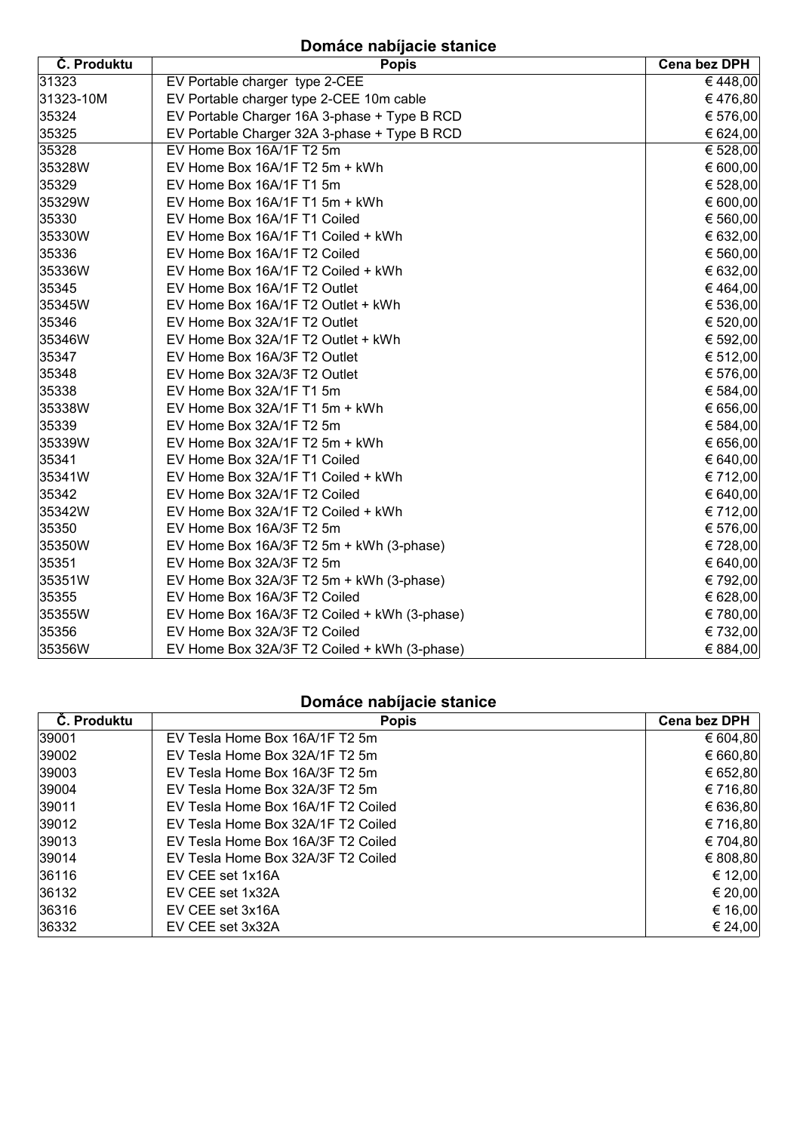# **Domáce nabíjacie stanice**

| Č. Produktu | <b>Popis</b>                                 | Cena bez DPH |
|-------------|----------------------------------------------|--------------|
| 31323       | EV Portable charger type 2-CEE               | €448,00      |
| 31323-10M   | EV Portable charger type 2-CEE 10m cable     | €476,80      |
| 35324       | EV Portable Charger 16A 3-phase + Type B RCD | € 576,00     |
| 35325       | EV Portable Charger 32A 3-phase + Type B RCD | € 624,00     |
| 35328       | EV Home Box 16A/1F T2 5m                     | € 528,00     |
| 35328W      | EV Home Box 16A/1F T2 5m + kWh               | € 600,00     |
| 35329       | EV Home Box 16A/1F T1 5m                     | € 528,00     |
| 35329W      | EV Home Box 16A/1F T1 5m + kWh               | € 600,00     |
| 35330       | EV Home Box 16A/1F T1 Coiled                 | € 560,00     |
| 35330W      | EV Home Box 16A/1F T1 Coiled + kWh           | € 632,00     |
| 35336       | EV Home Box 16A/1F T2 Coiled                 | € 560,00     |
| 35336W      | EV Home Box 16A/1F T2 Coiled + kWh           | € 632,00     |
| 35345       | EV Home Box 16A/1F T2 Outlet                 | €464,00      |
| 35345W      | EV Home Box 16A/1F T2 Outlet + kWh           | € 536,00     |
| 35346       | EV Home Box 32A/1F T2 Outlet                 | € 520,00     |
| 35346W      | EV Home Box 32A/1F T2 Outlet + kWh           | € 592,00     |
| 35347       | EV Home Box 16A/3F T2 Outlet                 | € 512,00     |
| 35348       | EV Home Box 32A/3F T2 Outlet                 | € 576,00     |
| 35338       | EV Home Box 32A/1F T1 5m                     | € 584,00     |
| 35338W      | EV Home Box 32A/1F T1 5m + kWh               | € 656,00     |
| 35339       | EV Home Box 32A/1F T2 5m                     | € 584,00     |
| 35339W      | EV Home Box 32A/1F T2 5m + kWh               | € 656,00     |
| 35341       | EV Home Box 32A/1F T1 Coiled                 | € 640,00     |
| 35341W      | EV Home Box 32A/1F T1 Coiled + kWh           | € 712,00     |
| 35342       | EV Home Box 32A/1F T2 Coiled                 | € 640,00     |
| 35342W      | EV Home Box 32A/1F T2 Coiled + kWh           | € 712,00     |
| 35350       | EV Home Box 16A/3F T2 5m                     | € 576,00     |
| 35350W      | EV Home Box 16A/3F T2 5m + kWh (3-phase)     | € 728,00     |
| 35351       | EV Home Box 32A/3F T2 5m                     | € 640,00     |
| 35351W      | EV Home Box 32A/3F T2 5m + kWh (3-phase)     | € 792,00     |
| 35355       | EV Home Box 16A/3F T2 Coiled                 | € 628,00     |
| 35355W      | EV Home Box 16A/3F T2 Coiled + kWh (3-phase) | € 780,00     |
| 35356       | EV Home Box 32A/3F T2 Coiled                 | € 732,00     |
| 35356W      | EV Home Box 32A/3F T2 Coiled + kWh (3-phase) | € 884,00     |

### **Domáce nabíjacie stanice**

| Č. Produktu | <b>Popis</b>                       | <b>Cena bez DPH</b> |
|-------------|------------------------------------|---------------------|
| 39001       | EV Tesla Home Box 16A/1F T2 5m     | € 604,80            |
| 39002       | EV Tesla Home Box 32A/1F T2 5m     | € 660,80            |
| 39003       | EV Tesla Home Box 16A/3F T2 5m     | € 652,80            |
| 39004       | EV Tesla Home Box 32A/3F T2 5m     | € 716,80            |
| 39011       | EV Tesla Home Box 16A/1F T2 Coiled | € 636,80            |
| 39012       | EV Tesla Home Box 32A/1F T2 Coiled | € 716,80            |
| 39013       | EV Tesla Home Box 16A/3F T2 Coiled | € 704,80            |
| 39014       | EV Tesla Home Box 32A/3F T2 Coiled | € 808,80            |
| 36116       | EV CEE set 1x16A                   | € 12,00             |
| 36132       | EV CEE set 1x32A                   | € 20,00             |
| 36316       | EV CEE set 3x16A                   | € 16,00             |
| 36332       | EV CEE set 3x32A                   | € 24,00             |